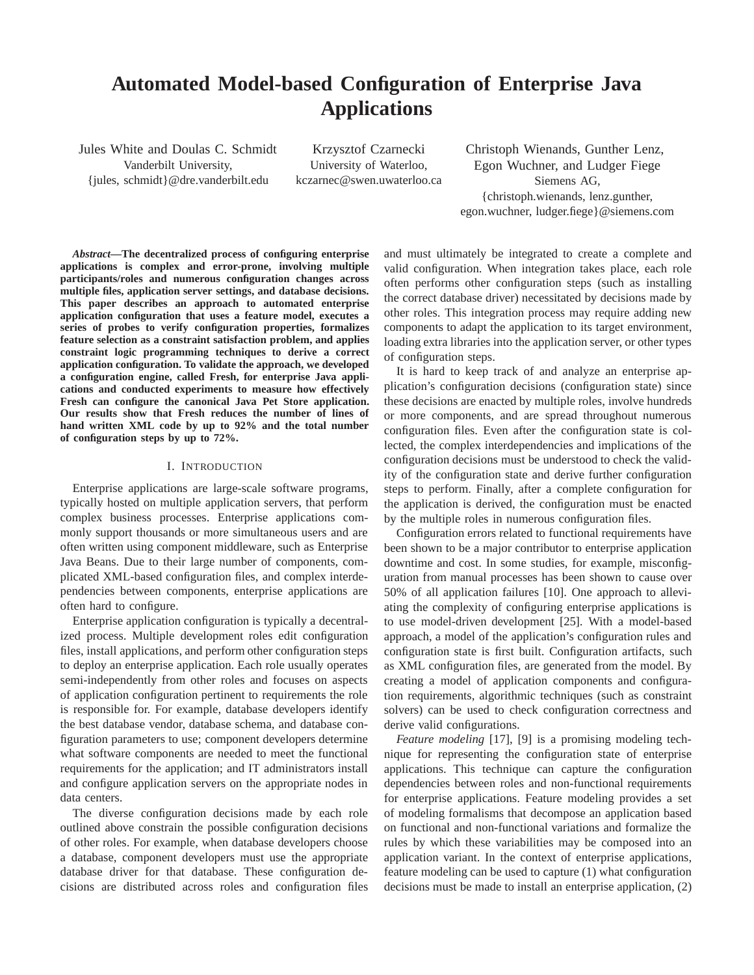# **Automated Model-based Configuration of Enterprise Java Applications**

Jules White and Doulas C. Schmidt Vanderbilt University, {jules, schmidt}@dre.vanderbilt.edu

Krzysztof Czarnecki University of Waterloo, kczarnec@swen.uwaterloo.ca

Christoph Wienands, Gunther Lenz, Egon Wuchner, and Ludger Fiege Siemens AG, {christoph.wienands, lenz.gunther, egon.wuchner, ludger.fiege}@siemens.com

*Abstract***—The decentralized process of configuring enterprise applications is complex and error-prone, involving multiple participants/roles and numerous configuration changes across multiple files, application server settings, and database decisions. This paper describes an approach to automated enterprise application configuration that uses a feature model, executes a series of probes to verify configuration properties, formalizes feature selection as a constraint satisfaction problem, and applies constraint logic programming techniques to derive a correct application configuration. To validate the approach, we developed a configuration engine, called Fresh, for enterprise Java applications and conducted experiments to measure how effectively Fresh can configure the canonical Java Pet Store application. Our results show that Fresh reduces the number of lines of hand written XML code by up to 92% and the total number of configuration steps by up to 72%.**

#### I. INTRODUCTION

Enterprise applications are large-scale software programs, typically hosted on multiple application servers, that perform complex business processes. Enterprise applications commonly support thousands or more simultaneous users and are often written using component middleware, such as Enterprise Java Beans. Due to their large number of components, complicated XML-based configuration files, and complex interdependencies between components, enterprise applications are often hard to configure.

Enterprise application configuration is typically a decentralized process. Multiple development roles edit configuration files, install applications, and perform other configuration steps to deploy an enterprise application. Each role usually operates semi-independently from other roles and focuses on aspects of application configuration pertinent to requirements the role is responsible for. For example, database developers identify the best database vendor, database schema, and database configuration parameters to use; component developers determine what software components are needed to meet the functional requirements for the application; and IT administrators install and configure application servers on the appropriate nodes in data centers.

The diverse configuration decisions made by each role outlined above constrain the possible configuration decisions of other roles. For example, when database developers choose a database, component developers must use the appropriate database driver for that database. These configuration decisions are distributed across roles and configuration files

and must ultimately be integrated to create a complete and valid configuration. When integration takes place, each role often performs other configuration steps (such as installing the correct database driver) necessitated by decisions made by other roles. This integration process may require adding new components to adapt the application to its target environment, loading extra libraries into the application server, or other types of configuration steps.

It is hard to keep track of and analyze an enterprise application's configuration decisions (configuration state) since these decisions are enacted by multiple roles, involve hundreds or more components, and are spread throughout numerous configuration files. Even after the configuration state is collected, the complex interdependencies and implications of the configuration decisions must be understood to check the validity of the configuration state and derive further configuration steps to perform. Finally, after a complete configuration for the application is derived, the configuration must be enacted by the multiple roles in numerous configuration files.

Configuration errors related to functional requirements have been shown to be a major contributor to enterprise application downtime and cost. In some studies, for example, misconfiguration from manual processes has been shown to cause over 50% of all application failures [10]. One approach to alleviating the complexity of configuring enterprise applications is to use model-driven development [25]. With a model-based approach, a model of the application's configuration rules and configuration state is first built. Configuration artifacts, such as XML configuration files, are generated from the model. By creating a model of application components and configuration requirements, algorithmic techniques (such as constraint solvers) can be used to check configuration correctness and derive valid configurations.

*Feature modeling* [17], [9] is a promising modeling technique for representing the configuration state of enterprise applications. This technique can capture the configuration dependencies between roles and non-functional requirements for enterprise applications. Feature modeling provides a set of modeling formalisms that decompose an application based on functional and non-functional variations and formalize the rules by which these variabilities may be composed into an application variant. In the context of enterprise applications, feature modeling can be used to capture (1) what configuration decisions must be made to install an enterprise application, (2)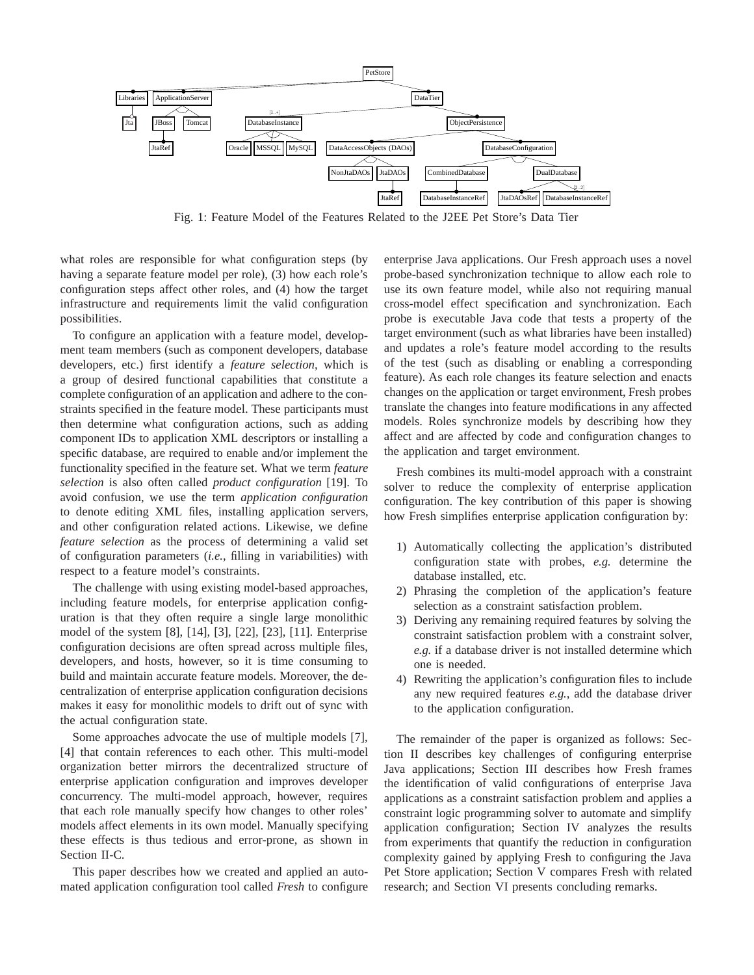

Fig. 1: Feature Model of the Features Related to the J2EE Pet Store's Data Tier

what roles are responsible for what configuration steps (by having a separate feature model per role), (3) how each role's configuration steps affect other roles, and (4) how the target infrastructure and requirements limit the valid configuration possibilities.

To configure an application with a feature model, development team members (such as component developers, database developers, etc.) first identify a *feature selection*, which is a group of desired functional capabilities that constitute a complete configuration of an application and adhere to the constraints specified in the feature model. These participants must then determine what configuration actions, such as adding component IDs to application XML descriptors or installing a specific database, are required to enable and/or implement the functionality specified in the feature set. What we term *feature selection* is also often called *product configuration* [19]. To avoid confusion, we use the term *application configuration* to denote editing XML files, installing application servers, and other configuration related actions. Likewise, we define *feature selection* as the process of determining a valid set of configuration parameters (*i.e.*, filling in variabilities) with respect to a feature model's constraints.

The challenge with using existing model-based approaches, including feature models, for enterprise application configuration is that they often require a single large monolithic model of the system [8], [14], [3], [22], [23], [11]. Enterprise configuration decisions are often spread across multiple files, developers, and hosts, however, so it is time consuming to build and maintain accurate feature models. Moreover, the decentralization of enterprise application configuration decisions makes it easy for monolithic models to drift out of sync with the actual configuration state.

Some approaches advocate the use of multiple models [7], [4] that contain references to each other. This multi-model organization better mirrors the decentralized structure of enterprise application configuration and improves developer concurrency. The multi-model approach, however, requires that each role manually specify how changes to other roles' models affect elements in its own model. Manually specifying these effects is thus tedious and error-prone, as shown in Section II-C.

This paper describes how we created and applied an automated application configuration tool called *Fresh* to configure enterprise Java applications. Our Fresh approach uses a novel probe-based synchronization technique to allow each role to use its own feature model, while also not requiring manual cross-model effect specification and synchronization. Each probe is executable Java code that tests a property of the target environment (such as what libraries have been installed) and updates a role's feature model according to the results of the test (such as disabling or enabling a corresponding feature). As each role changes its feature selection and enacts changes on the application or target environment, Fresh probes translate the changes into feature modifications in any affected models. Roles synchronize models by describing how they affect and are affected by code and configuration changes to the application and target environment.

Fresh combines its multi-model approach with a constraint solver to reduce the complexity of enterprise application configuration. The key contribution of this paper is showing how Fresh simplifies enterprise application configuration by:

- 1) Automatically collecting the application's distributed configuration state with probes, *e.g.* determine the database installed, etc.
- 2) Phrasing the completion of the application's feature selection as a constraint satisfaction problem.
- 3) Deriving any remaining required features by solving the constraint satisfaction problem with a constraint solver, *e.g.* if a database driver is not installed determine which one is needed.
- 4) Rewriting the application's configuration files to include any new required features *e.g.*, add the database driver to the application configuration.

The remainder of the paper is organized as follows: Section II describes key challenges of configuring enterprise Java applications; Section III describes how Fresh frames the identification of valid configurations of enterprise Java applications as a constraint satisfaction problem and applies a constraint logic programming solver to automate and simplify application configuration; Section IV analyzes the results from experiments that quantify the reduction in configuration complexity gained by applying Fresh to configuring the Java Pet Store application; Section V compares Fresh with related research; and Section VI presents concluding remarks.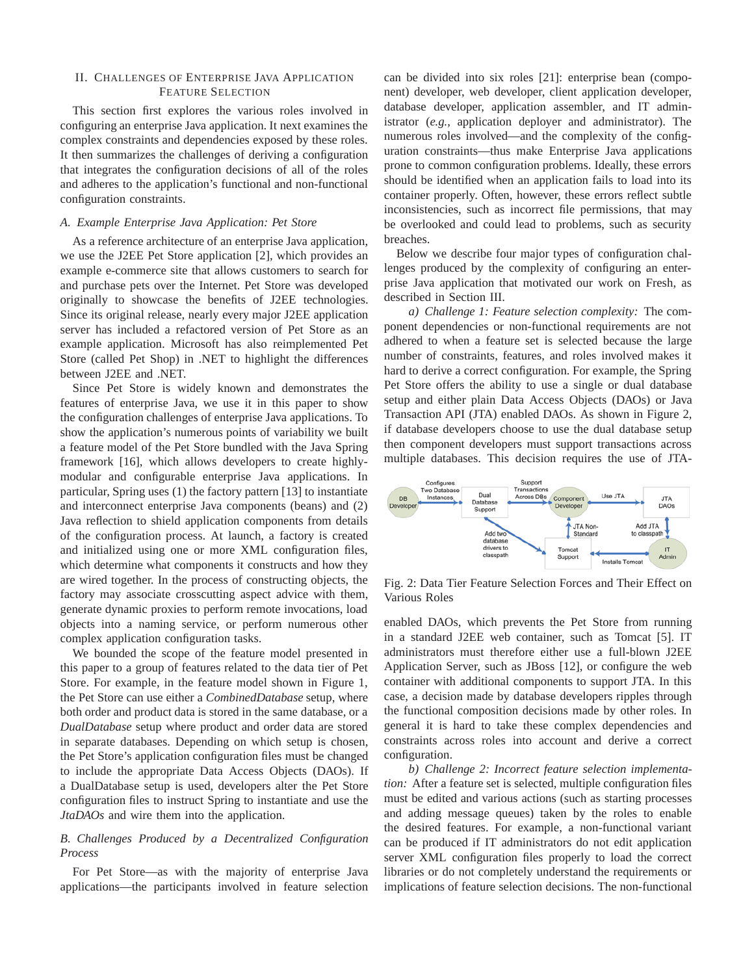# II. CHALLENGES OF ENTERPRISE JAVA APPLICATION FEATURE SELECTION

This section first explores the various roles involved in configuring an enterprise Java application. It next examines the complex constraints and dependencies exposed by these roles. It then summarizes the challenges of deriving a configuration that integrates the configuration decisions of all of the roles and adheres to the application's functional and non-functional configuration constraints.

# *A. Example Enterprise Java Application: Pet Store*

As a reference architecture of an enterprise Java application, we use the J2EE Pet Store application [2], which provides an example e-commerce site that allows customers to search for and purchase pets over the Internet. Pet Store was developed originally to showcase the benefits of J2EE technologies. Since its original release, nearly every major J2EE application server has included a refactored version of Pet Store as an example application. Microsoft has also reimplemented Pet Store (called Pet Shop) in .NET to highlight the differences between J2EE and .NET.

Since Pet Store is widely known and demonstrates the features of enterprise Java, we use it in this paper to show the configuration challenges of enterprise Java applications. To show the application's numerous points of variability we built a feature model of the Pet Store bundled with the Java Spring framework [16], which allows developers to create highlymodular and configurable enterprise Java applications. In particular, Spring uses (1) the factory pattern [13] to instantiate and interconnect enterprise Java components (beans) and (2) Java reflection to shield application components from details of the configuration process. At launch, a factory is created and initialized using one or more XML configuration files, which determine what components it constructs and how they are wired together. In the process of constructing objects, the factory may associate crosscutting aspect advice with them, generate dynamic proxies to perform remote invocations, load objects into a naming service, or perform numerous other complex application configuration tasks.

We bounded the scope of the feature model presented in this paper to a group of features related to the data tier of Pet Store. For example, in the feature model shown in Figure 1, the Pet Store can use either a *CombinedDatabase* setup, where both order and product data is stored in the same database, or a *DualDatabase* setup where product and order data are stored in separate databases. Depending on which setup is chosen, the Pet Store's application configuration files must be changed to include the appropriate Data Access Objects (DAOs). If a DualDatabase setup is used, developers alter the Pet Store configuration files to instruct Spring to instantiate and use the *JtaDAOs* and wire them into the application.

# *B. Challenges Produced by a Decentralized Configuration Process*

For Pet Store—as with the majority of enterprise Java applications—the participants involved in feature selection

can be divided into six roles [21]: enterprise bean (component) developer, web developer, client application developer, database developer, application assembler, and IT administrator (*e.g.*, application deployer and administrator). The numerous roles involved—and the complexity of the configuration constraints—thus make Enterprise Java applications prone to common configuration problems. Ideally, these errors should be identified when an application fails to load into its container properly. Often, however, these errors reflect subtle inconsistencies, such as incorrect file permissions, that may be overlooked and could lead to problems, such as security breaches.

Below we describe four major types of configuration challenges produced by the complexity of configuring an enterprise Java application that motivated our work on Fresh, as described in Section III.

*a) Challenge 1: Feature selection complexity:* The component dependencies or non-functional requirements are not adhered to when a feature set is selected because the large number of constraints, features, and roles involved makes it hard to derive a correct configuration. For example, the Spring Pet Store offers the ability to use a single or dual database setup and either plain Data Access Objects (DAOs) or Java Transaction API (JTA) enabled DAOs. As shown in Figure 2, if database developers choose to use the dual database setup then component developers must support transactions across multiple databases. This decision requires the use of JTA-



Fig. 2: Data Tier Feature Selection Forces and Their Effect on Various Roles

enabled DAOs, which prevents the Pet Store from running in a standard J2EE web container, such as Tomcat [5]. IT administrators must therefore either use a full-blown J2EE Application Server, such as JBoss [12], or configure the web container with additional components to support JTA. In this case, a decision made by database developers ripples through the functional composition decisions made by other roles. In general it is hard to take these complex dependencies and constraints across roles into account and derive a correct configuration.

*b) Challenge 2: Incorrect feature selection implementation:* After a feature set is selected, multiple configuration files must be edited and various actions (such as starting processes and adding message queues) taken by the roles to enable the desired features. For example, a non-functional variant can be produced if IT administrators do not edit application server XML configuration files properly to load the correct libraries or do not completely understand the requirements or implications of feature selection decisions. The non-functional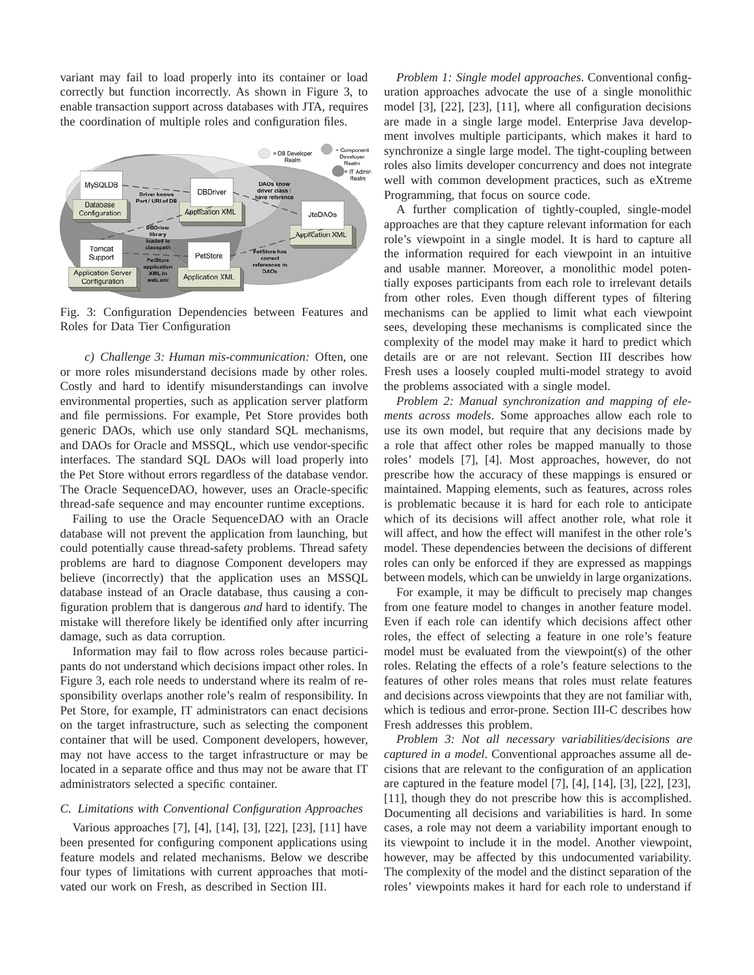variant may fail to load properly into its container or load correctly but function incorrectly. As shown in Figure 3, to enable transaction support across databases with JTA, requires the coordination of multiple roles and configuration files.



Fig. 3: Configuration Dependencies between Features and Roles for Data Tier Configuration

*c) Challenge 3: Human mis-communication:* Often, one or more roles misunderstand decisions made by other roles. Costly and hard to identify misunderstandings can involve environmental properties, such as application server platform and file permissions. For example, Pet Store provides both generic DAOs, which use only standard SQL mechanisms, and DAOs for Oracle and MSSQL, which use vendor-specific interfaces. The standard SQL DAOs will load properly into the Pet Store without errors regardless of the database vendor. The Oracle SequenceDAO, however, uses an Oracle-specific thread-safe sequence and may encounter runtime exceptions.

Failing to use the Oracle SequenceDAO with an Oracle database will not prevent the application from launching, but could potentially cause thread-safety problems. Thread safety problems are hard to diagnose Component developers may believe (incorrectly) that the application uses an MSSQL database instead of an Oracle database, thus causing a configuration problem that is dangerous *and* hard to identify. The mistake will therefore likely be identified only after incurring damage, such as data corruption.

Information may fail to flow across roles because participants do not understand which decisions impact other roles. In Figure 3, each role needs to understand where its realm of responsibility overlaps another role's realm of responsibility. In Pet Store, for example, IT administrators can enact decisions on the target infrastructure, such as selecting the component container that will be used. Component developers, however, may not have access to the target infrastructure or may be located in a separate office and thus may not be aware that IT administrators selected a specific container.

#### *C. Limitations with Conventional Configuration Approaches*

Various approaches [7], [4], [14], [3], [22], [23], [11] have been presented for configuring component applications using feature models and related mechanisms. Below we describe four types of limitations with current approaches that motivated our work on Fresh, as described in Section III.

*Problem 1: Single model approaches*. Conventional configuration approaches advocate the use of a single monolithic model [3], [22], [23], [11], where all configuration decisions are made in a single large model. Enterprise Java development involves multiple participants, which makes it hard to synchronize a single large model. The tight-coupling between roles also limits developer concurrency and does not integrate well with common development practices, such as eXtreme Programming, that focus on source code.

A further complication of tightly-coupled, single-model approaches are that they capture relevant information for each role's viewpoint in a single model. It is hard to capture all the information required for each viewpoint in an intuitive and usable manner. Moreover, a monolithic model potentially exposes participants from each role to irrelevant details from other roles. Even though different types of filtering mechanisms can be applied to limit what each viewpoint sees, developing these mechanisms is complicated since the complexity of the model may make it hard to predict which details are or are not relevant. Section III describes how Fresh uses a loosely coupled multi-model strategy to avoid the problems associated with a single model.

*Problem 2: Manual synchronization and mapping of elements across models*. Some approaches allow each role to use its own model, but require that any decisions made by a role that affect other roles be mapped manually to those roles' models [7], [4]. Most approaches, however, do not prescribe how the accuracy of these mappings is ensured or maintained. Mapping elements, such as features, across roles is problematic because it is hard for each role to anticipate which of its decisions will affect another role, what role it will affect, and how the effect will manifest in the other role's model. These dependencies between the decisions of different roles can only be enforced if they are expressed as mappings between models, which can be unwieldy in large organizations.

For example, it may be difficult to precisely map changes from one feature model to changes in another feature model. Even if each role can identify which decisions affect other roles, the effect of selecting a feature in one role's feature model must be evaluated from the viewpoint(s) of the other roles. Relating the effects of a role's feature selections to the features of other roles means that roles must relate features and decisions across viewpoints that they are not familiar with, which is tedious and error-prone. Section III-C describes how Fresh addresses this problem.

*Problem 3: Not all necessary variabilities/decisions are captured in a model*. Conventional approaches assume all decisions that are relevant to the configuration of an application are captured in the feature model [7], [4], [14], [3], [22], [23], [11], though they do not prescribe how this is accomplished. Documenting all decisions and variabilities is hard. In some cases, a role may not deem a variability important enough to its viewpoint to include it in the model. Another viewpoint, however, may be affected by this undocumented variability. The complexity of the model and the distinct separation of the roles' viewpoints makes it hard for each role to understand if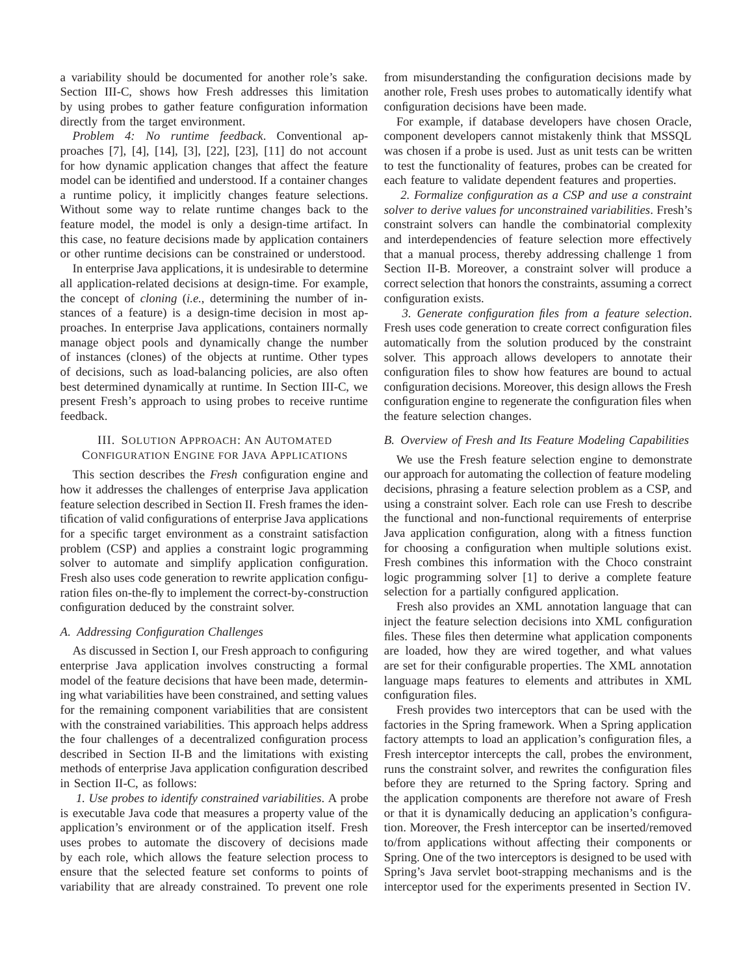a variability should be documented for another role's sake. Section III-C, shows how Fresh addresses this limitation by using probes to gather feature configuration information directly from the target environment.

*Problem 4: No runtime feedback*. Conventional approaches [7], [4], [14], [3], [22], [23], [11] do not account for how dynamic application changes that affect the feature model can be identified and understood. If a container changes a runtime policy, it implicitly changes feature selections. Without some way to relate runtime changes back to the feature model, the model is only a design-time artifact. In this case, no feature decisions made by application containers or other runtime decisions can be constrained or understood.

In enterprise Java applications, it is undesirable to determine all application-related decisions at design-time. For example, the concept of *cloning* (*i.e.*, determining the number of instances of a feature) is a design-time decision in most approaches. In enterprise Java applications, containers normally manage object pools and dynamically change the number of instances (clones) of the objects at runtime. Other types of decisions, such as load-balancing policies, are also often best determined dynamically at runtime. In Section III-C, we present Fresh's approach to using probes to receive runtime feedback.

# III. SOLUTION APPROACH: AN AUTOMATED CONFIGURATION ENGINE FOR JAVA APPLICATIONS

This section describes the *Fresh* configuration engine and how it addresses the challenges of enterprise Java application feature selection described in Section II. Fresh frames the identification of valid configurations of enterprise Java applications for a specific target environment as a constraint satisfaction problem (CSP) and applies a constraint logic programming solver to automate and simplify application configuration. Fresh also uses code generation to rewrite application configuration files on-the-fly to implement the correct-by-construction configuration deduced by the constraint solver.

#### *A. Addressing Configuration Challenges*

As discussed in Section I, our Fresh approach to configuring enterprise Java application involves constructing a formal model of the feature decisions that have been made, determining what variabilities have been constrained, and setting values for the remaining component variabilities that are consistent with the constrained variabilities. This approach helps address the four challenges of a decentralized configuration process described in Section II-B and the limitations with existing methods of enterprise Java application configuration described in Section II-C, as follows:

*1. Use probes to identify constrained variabilities*. A probe is executable Java code that measures a property value of the application's environment or of the application itself. Fresh uses probes to automate the discovery of decisions made by each role, which allows the feature selection process to ensure that the selected feature set conforms to points of variability that are already constrained. To prevent one role

from misunderstanding the configuration decisions made by another role, Fresh uses probes to automatically identify what configuration decisions have been made.

For example, if database developers have chosen Oracle, component developers cannot mistakenly think that MSSQL was chosen if a probe is used. Just as unit tests can be written to test the functionality of features, probes can be created for each feature to validate dependent features and properties.

*2. Formalize configuration as a CSP and use a constraint solver to derive values for unconstrained variabilities*. Fresh's constraint solvers can handle the combinatorial complexity and interdependencies of feature selection more effectively that a manual process, thereby addressing challenge 1 from Section II-B. Moreover, a constraint solver will produce a correct selection that honors the constraints, assuming a correct configuration exists.

*3. Generate configuration files from a feature selection*. Fresh uses code generation to create correct configuration files automatically from the solution produced by the constraint solver. This approach allows developers to annotate their configuration files to show how features are bound to actual configuration decisions. Moreover, this design allows the Fresh configuration engine to regenerate the configuration files when the feature selection changes.

#### *B. Overview of Fresh and Its Feature Modeling Capabilities*

We use the Fresh feature selection engine to demonstrate our approach for automating the collection of feature modeling decisions, phrasing a feature selection problem as a CSP, and using a constraint solver. Each role can use Fresh to describe the functional and non-functional requirements of enterprise Java application configuration, along with a fitness function for choosing a configuration when multiple solutions exist. Fresh combines this information with the Choco constraint logic programming solver [1] to derive a complete feature selection for a partially configured application.

Fresh also provides an XML annotation language that can inject the feature selection decisions into XML configuration files. These files then determine what application components are loaded, how they are wired together, and what values are set for their configurable properties. The XML annotation language maps features to elements and attributes in XML configuration files.

Fresh provides two interceptors that can be used with the factories in the Spring framework. When a Spring application factory attempts to load an application's configuration files, a Fresh interceptor intercepts the call, probes the environment, runs the constraint solver, and rewrites the configuration files before they are returned to the Spring factory. Spring and the application components are therefore not aware of Fresh or that it is dynamically deducing an application's configuration. Moreover, the Fresh interceptor can be inserted/removed to/from applications without affecting their components or Spring. One of the two interceptors is designed to be used with Spring's Java servlet boot-strapping mechanisms and is the interceptor used for the experiments presented in Section IV.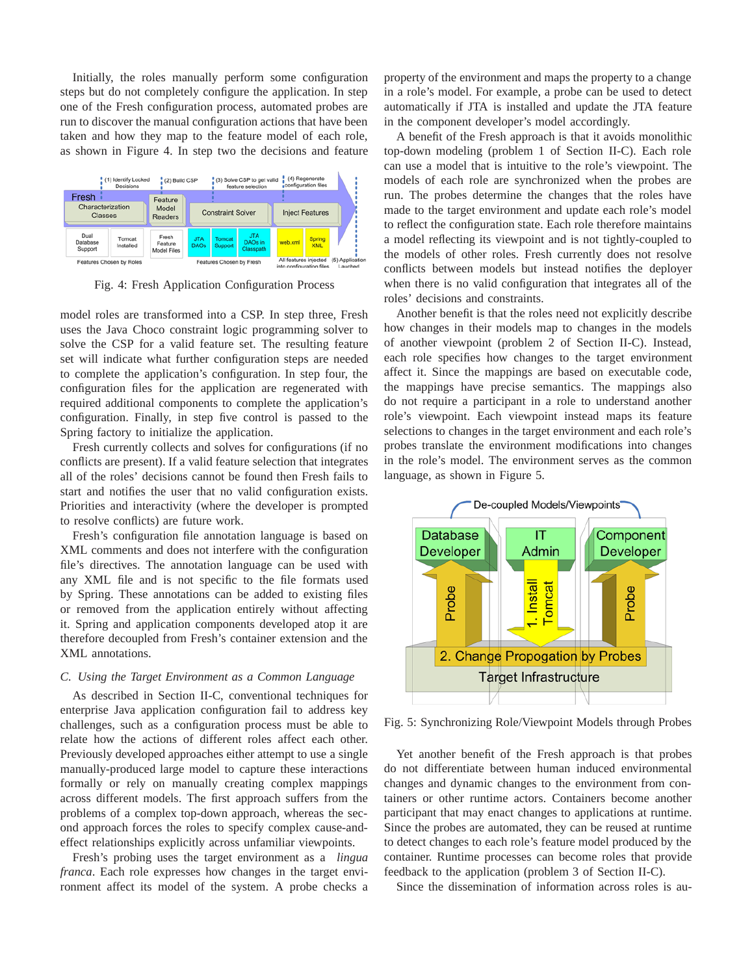Initially, the roles manually perform some configuration steps but do not completely configure the application. In step one of the Fresh configuration process, automated probes are run to discover the manual configuration actions that have been taken and how they map to the feature model of each role, as shown in Figure 4. In step two the decisions and feature



Fig. 4: Fresh Application Configuration Process

model roles are transformed into a CSP. In step three, Fresh uses the Java Choco constraint logic programming solver to solve the CSP for a valid feature set. The resulting feature set will indicate what further configuration steps are needed to complete the application's configuration. In step four, the configuration files for the application are regenerated with required additional components to complete the application's configuration. Finally, in step five control is passed to the Spring factory to initialize the application.

Fresh currently collects and solves for configurations (if no conflicts are present). If a valid feature selection that integrates all of the roles' decisions cannot be found then Fresh fails to start and notifies the user that no valid configuration exists. Priorities and interactivity (where the developer is prompted to resolve conflicts) are future work.

Fresh's configuration file annotation language is based on XML comments and does not interfere with the configuration file's directives. The annotation language can be used with any XML file and is not specific to the file formats used by Spring. These annotations can be added to existing files or removed from the application entirely without affecting it. Spring and application components developed atop it are therefore decoupled from Fresh's container extension and the XML annotations.

# *C. Using the Target Environment as a Common Language*

As described in Section II-C, conventional techniques for enterprise Java application configuration fail to address key challenges, such as a configuration process must be able to relate how the actions of different roles affect each other. Previously developed approaches either attempt to use a single manually-produced large model to capture these interactions formally or rely on manually creating complex mappings across different models. The first approach suffers from the problems of a complex top-down approach, whereas the second approach forces the roles to specify complex cause-andeffect relationships explicitly across unfamiliar viewpoints.

Fresh's probing uses the target environment as a *lingua franca*. Each role expresses how changes in the target environment affect its model of the system. A probe checks a

property of the environment and maps the property to a change in a role's model. For example, a probe can be used to detect automatically if JTA is installed and update the JTA feature in the component developer's model accordingly.

A benefit of the Fresh approach is that it avoids monolithic top-down modeling (problem 1 of Section II-C). Each role can use a model that is intuitive to the role's viewpoint. The models of each role are synchronized when the probes are run. The probes determine the changes that the roles have made to the target environment and update each role's model to reflect the configuration state. Each role therefore maintains a model reflecting its viewpoint and is not tightly-coupled to the models of other roles. Fresh currently does not resolve conflicts between models but instead notifies the deployer when there is no valid configuration that integrates all of the roles' decisions and constraints.

Another benefit is that the roles need not explicitly describe how changes in their models map to changes in the models of another viewpoint (problem 2 of Section II-C). Instead, each role specifies how changes to the target environment affect it. Since the mappings are based on executable code, the mappings have precise semantics. The mappings also do not require a participant in a role to understand another role's viewpoint. Each viewpoint instead maps its feature selections to changes in the target environment and each role's probes translate the environment modifications into changes in the role's model. The environment serves as the common language, as shown in Figure 5.



Fig. 5: Synchronizing Role/Viewpoint Models through Probes

Yet another benefit of the Fresh approach is that probes do not differentiate between human induced environmental changes and dynamic changes to the environment from containers or other runtime actors. Containers become another participant that may enact changes to applications at runtime. Since the probes are automated, they can be reused at runtime to detect changes to each role's feature model produced by the container. Runtime processes can become roles that provide feedback to the application (problem 3 of Section II-C).

Since the dissemination of information across roles is au-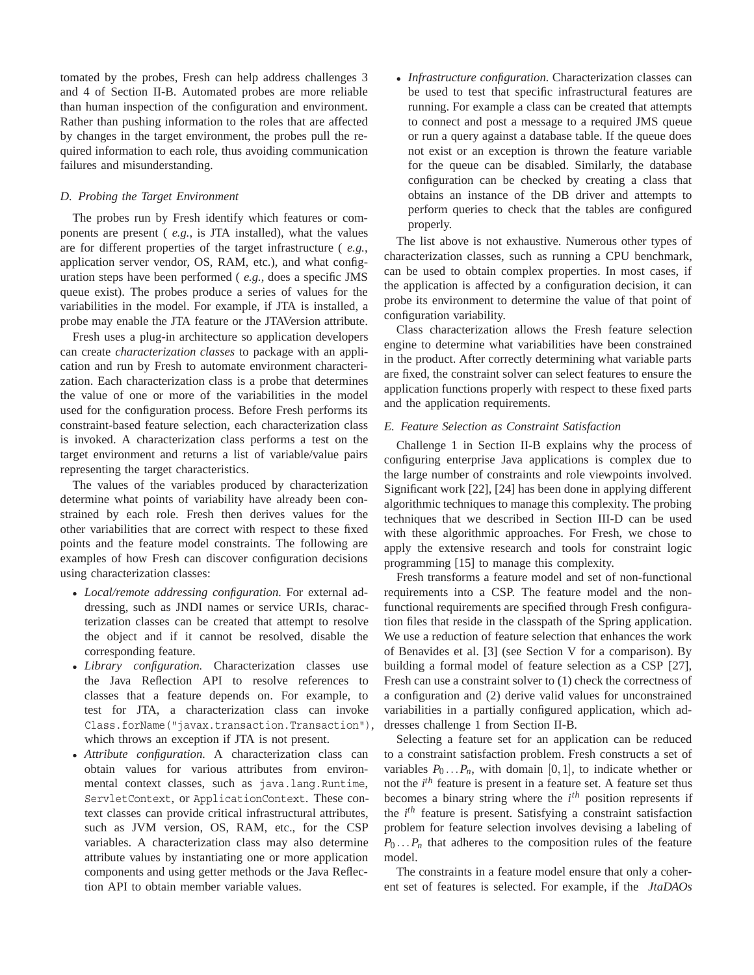tomated by the probes, Fresh can help address challenges 3 and 4 of Section II-B. Automated probes are more reliable than human inspection of the configuration and environment. Rather than pushing information to the roles that are affected by changes in the target environment, the probes pull the required information to each role, thus avoiding communication failures and misunderstanding.

### *D. Probing the Target Environment*

The probes run by Fresh identify which features or components are present ( *e.g.*, is JTA installed), what the values are for different properties of the target infrastructure ( *e.g.*, application server vendor, OS, RAM, etc.), and what configuration steps have been performed ( *e.g.*, does a specific JMS queue exist). The probes produce a series of values for the variabilities in the model. For example, if JTA is installed, a probe may enable the JTA feature or the JTAVersion attribute.

Fresh uses a plug-in architecture so application developers can create *characterization classes* to package with an application and run by Fresh to automate environment characterization. Each characterization class is a probe that determines the value of one or more of the variabilities in the model used for the configuration process. Before Fresh performs its constraint-based feature selection, each characterization class is invoked. A characterization class performs a test on the target environment and returns a list of variable/value pairs representing the target characteristics.

The values of the variables produced by characterization determine what points of variability have already been constrained by each role. Fresh then derives values for the other variabilities that are correct with respect to these fixed points and the feature model constraints. The following are examples of how Fresh can discover configuration decisions using characterization classes:

- *Local/remote addressing configuration.* For external addressing, such as JNDI names or service URIs, characterization classes can be created that attempt to resolve the object and if it cannot be resolved, disable the corresponding feature.
- *Library configuration.* Characterization classes use the Java Reflection API to resolve references to classes that a feature depends on. For example, to test for JTA, a characterization class can invoke Class.forName("javax.transaction.Transaction"), which throws an exception if JTA is not present.
- *Attribute configuration.* A characterization class can obtain values for various attributes from environmental context classes, such as java.lang.Runtime, ServletContext, or ApplicationContext. These context classes can provide critical infrastructural attributes, such as JVM version, OS, RAM, etc., for the CSP variables. A characterization class may also determine attribute values by instantiating one or more application components and using getter methods or the Java Reflection API to obtain member variable values.

• *Infrastructure configuration.* Characterization classes can be used to test that specific infrastructural features are running. For example a class can be created that attempts to connect and post a message to a required JMS queue or run a query against a database table. If the queue does not exist or an exception is thrown the feature variable for the queue can be disabled. Similarly, the database configuration can be checked by creating a class that obtains an instance of the DB driver and attempts to perform queries to check that the tables are configured properly.

The list above is not exhaustive. Numerous other types of characterization classes, such as running a CPU benchmark, can be used to obtain complex properties. In most cases, if the application is affected by a configuration decision, it can probe its environment to determine the value of that point of configuration variability.

Class characterization allows the Fresh feature selection engine to determine what variabilities have been constrained in the product. After correctly determining what variable parts are fixed, the constraint solver can select features to ensure the application functions properly with respect to these fixed parts and the application requirements.

# *E. Feature Selection as Constraint Satisfaction*

Challenge 1 in Section II-B explains why the process of configuring enterprise Java applications is complex due to the large number of constraints and role viewpoints involved. Significant work [22], [24] has been done in applying different algorithmic techniques to manage this complexity. The probing techniques that we described in Section III-D can be used with these algorithmic approaches. For Fresh, we chose to apply the extensive research and tools for constraint logic programming [15] to manage this complexity.

Fresh transforms a feature model and set of non-functional requirements into a CSP. The feature model and the nonfunctional requirements are specified through Fresh configuration files that reside in the classpath of the Spring application. We use a reduction of feature selection that enhances the work of Benavides et al. [3] (see Section V for a comparison). By building a formal model of feature selection as a CSP [27], Fresh can use a constraint solver to (1) check the correctness of a configuration and (2) derive valid values for unconstrained variabilities in a partially configured application, which addresses challenge 1 from Section II-B.

Selecting a feature set for an application can be reduced to a constraint satisfaction problem. Fresh constructs a set of variables  $P_0 \dots P_n$ , with domain [0,1], to indicate whether or not the *i th* feature is present in a feature set. A feature set thus becomes a binary string where the *i th* position represents if the *i th* feature is present. Satisfying a constraint satisfaction problem for feature selection involves devising a labeling of  $P_0 \ldots P_n$  that adheres to the composition rules of the feature model.

The constraints in a feature model ensure that only a coherent set of features is selected. For example, if the *JtaDAOs*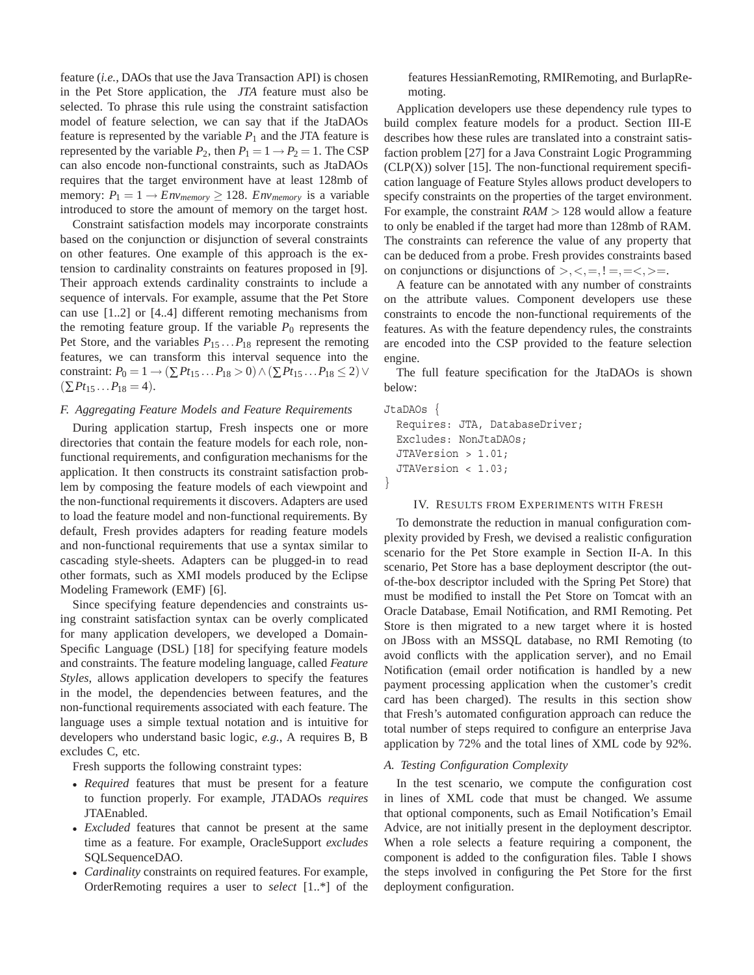feature (*i.e.*, DAOs that use the Java Transaction API) is chosen in the Pet Store application, the *JTA* feature must also be selected. To phrase this rule using the constraint satisfaction model of feature selection, we can say that if the JtaDAOs feature is represented by the variable  $P_1$  and the JTA feature is represented by the variable  $P_2$ , then  $P_1 = 1 \rightarrow P_2 = 1$ . The CSP can also encode non-functional constraints, such as JtaDAOs requires that the target environment have at least 128mb of memory:  $P_1 = 1 \rightarrow \text{Env}_{memory} \ge 128$ . *Env<sub>memory</sub>* is a variable introduced to store the amount of memory on the target host.

Constraint satisfaction models may incorporate constraints based on the conjunction or disjunction of several constraints on other features. One example of this approach is the extension to cardinality constraints on features proposed in [9]. Their approach extends cardinality constraints to include a sequence of intervals. For example, assume that the Pet Store can use [1..2] or [4..4] different remoting mechanisms from the remoting feature group. If the variable  $P_0$  represents the Pet Store, and the variables  $P_{15} \dots P_{18}$  represent the remoting features, we can transform this interval sequence into the constraint:  $P_0 = 1 \rightarrow (\sum P t_{15} ... P_{18} > 0) \land (\sum P t_{15} ... P_{18} \le 2) \lor$  $(\sum P t_{15} \ldots P_{18} = 4).$ 

# *F. Aggregating Feature Models and Feature Requirements*

During application startup, Fresh inspects one or more directories that contain the feature models for each role, nonfunctional requirements, and configuration mechanisms for the application. It then constructs its constraint satisfaction problem by composing the feature models of each viewpoint and the non-functional requirements it discovers. Adapters are used to load the feature model and non-functional requirements. By default, Fresh provides adapters for reading feature models and non-functional requirements that use a syntax similar to cascading style-sheets. Adapters can be plugged-in to read other formats, such as XMI models produced by the Eclipse Modeling Framework (EMF) [6].

Since specifying feature dependencies and constraints using constraint satisfaction syntax can be overly complicated for many application developers, we developed a Domain-Specific Language (DSL) [18] for specifying feature models and constraints. The feature modeling language, called *Feature Styles*, allows application developers to specify the features in the model, the dependencies between features, and the non-functional requirements associated with each feature. The language uses a simple textual notation and is intuitive for developers who understand basic logic, *e.g.*, A requires B, B excludes C, etc.

Fresh supports the following constraint types:

- *Required* features that must be present for a feature to function properly. For example, JTADAOs *requires* JTAEnabled.
- *Excluded* features that cannot be present at the same time as a feature. For example, OracleSupport *excludes* SQLSequenceDAO.
- *Cardinality* constraints on required features. For example, OrderRemoting requires a user to *select* [1..\*] of the

features HessianRemoting, RMIRemoting, and BurlapRemoting.

Application developers use these dependency rule types to build complex feature models for a product. Section III-E describes how these rules are translated into a constraint satisfaction problem [27] for a Java Constraint Logic Programming  $(CLP(X))$  solver [15]. The non-functional requirement specification language of Feature Styles allows product developers to specify constraints on the properties of the target environment. For example, the constraint *RAM >* 128 would allow a feature to only be enabled if the target had more than 128mb of RAM. The constraints can reference the value of any property that can be deduced from a probe. Fresh provides constraints based on conjunctions or disjunctions of  $\geq, \leq, =, !=, = \leq, \geq =.$ 

A feature can be annotated with any number of constraints on the attribute values. Component developers use these constraints to encode the non-functional requirements of the features. As with the feature dependency rules, the constraints are encoded into the CSP provided to the feature selection engine.

The full feature specification for the JtaDAOs is shown below:

```
JtaDAOs {
```
}

```
Requires: JTA, DatabaseDriver;
Excludes: NonJtaDAOs;
JTAVersion > 1.01;
JTAVersion < 1.03;
```
#### IV. RESULTS FROM EXPERIMENTS WITH FRESH

To demonstrate the reduction in manual configuration complexity provided by Fresh, we devised a realistic configuration scenario for the Pet Store example in Section II-A. In this scenario, Pet Store has a base deployment descriptor (the outof-the-box descriptor included with the Spring Pet Store) that must be modified to install the Pet Store on Tomcat with an Oracle Database, Email Notification, and RMI Remoting. Pet Store is then migrated to a new target where it is hosted on JBoss with an MSSQL database, no RMI Remoting (to avoid conflicts with the application server), and no Email Notification (email order notification is handled by a new payment processing application when the customer's credit card has been charged). The results in this section show that Fresh's automated configuration approach can reduce the total number of steps required to configure an enterprise Java application by 72% and the total lines of XML code by 92%.

## *A. Testing Configuration Complexity*

In the test scenario, we compute the configuration cost in lines of XML code that must be changed. We assume that optional components, such as Email Notification's Email Advice, are not initially present in the deployment descriptor. When a role selects a feature requiring a component, the component is added to the configuration files. Table I shows the steps involved in configuring the Pet Store for the first deployment configuration.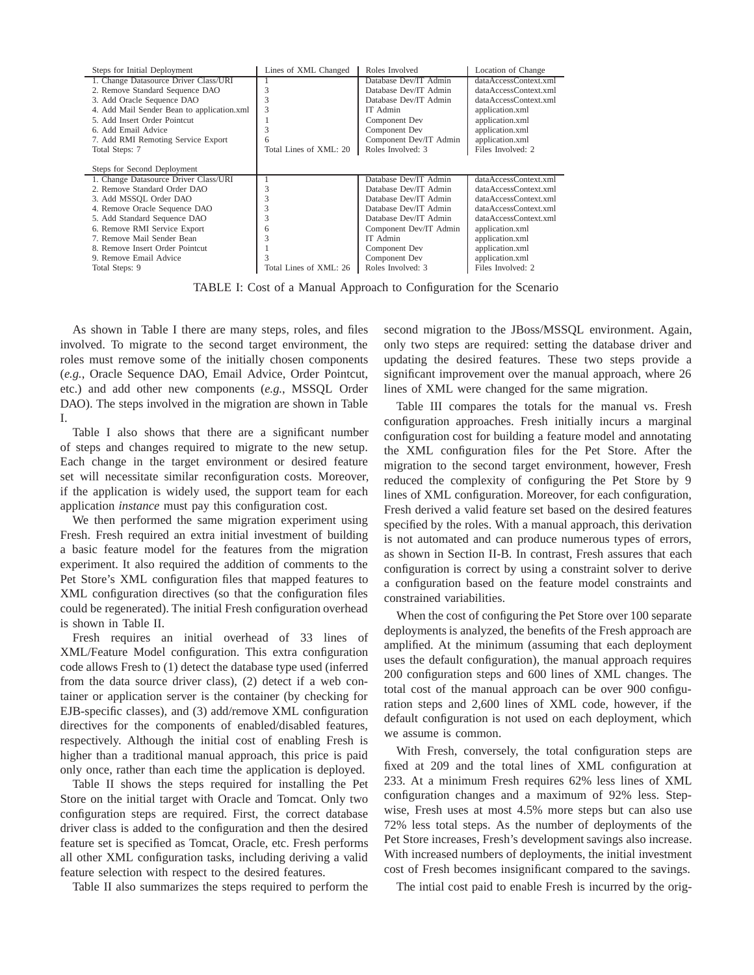| Steps for Initial Deployment               | Lines of XML Changed   | Roles Involved         | Location of Change    |  |
|--------------------------------------------|------------------------|------------------------|-----------------------|--|
| 1. Change Datasource Driver Class/URI      |                        | Database Dev/IT Admin  | dataAccessContext.xml |  |
| 2. Remove Standard Sequence DAO            |                        | Database Dev/IT Admin  | dataAccessContext.xml |  |
| 3. Add Oracle Sequence DAO                 | 3                      | Database Dev/IT Admin  | dataAccessContext.xml |  |
| 4. Add Mail Sender Bean to application.xml | 3                      | IT Admin               | application.xml       |  |
| 5. Add Insert Order Pointcut               |                        | Component Dev          | application.xml       |  |
| 6. Add Email Advice                        |                        | Component Dev          | application.xml       |  |
| 7. Add RMI Remoting Service Export         | 6                      | Component Dev/IT Admin | application.xml       |  |
| Total Steps: 7                             | Total Lines of XML: 20 | Roles Involved: 3      | Files Involved: 2     |  |
|                                            |                        |                        |                       |  |
| Steps for Second Deployment                |                        |                        |                       |  |
| 1. Change Datasource Driver Class/URI      |                        | Database Dev/IT Admin  | dataAccessContext.xml |  |
| 2. Remove Standard Order DAO               |                        | Database Dev/IT Admin  | dataAccessContext.xml |  |
| 3. Add MSSOL Order DAO                     |                        | Database Dev/IT Admin  | dataAccessContext.xml |  |
| 4. Remove Oracle Sequence DAO              |                        | Database Dev/IT Admin  | dataAccessContext.xml |  |
| 5. Add Standard Sequence DAO               | 3                      | Database Dev/IT Admin  | dataAccessContext.xml |  |
| 6. Remove RMI Service Export               | 6                      | Component Dev/IT Admin | application.xml       |  |
| 7. Remove Mail Sender Bean                 |                        | IT Admin               | application.xml       |  |
| 8. Remove Insert Order Pointcut            |                        | Component Dev          | application.xml       |  |
| 9. Remove Email Advice                     |                        | Component Dev          | application.xml       |  |
| Total Steps: 9                             | Total Lines of XML: 26 | Roles Involved: 3      | Files Involved: 2     |  |

TABLE I: Cost of a Manual Approach to Configuration for the Scenario

As shown in Table I there are many steps, roles, and files involved. To migrate to the second target environment, the roles must remove some of the initially chosen components (*e.g.*, Oracle Sequence DAO, Email Advice, Order Pointcut, etc.) and add other new components (*e.g.*, MSSQL Order DAO). The steps involved in the migration are shown in Table I.

Table I also shows that there are a significant number of steps and changes required to migrate to the new setup. Each change in the target environment or desired feature set will necessitate similar reconfiguration costs. Moreover, if the application is widely used, the support team for each application *instance* must pay this configuration cost.

We then performed the same migration experiment using Fresh. Fresh required an extra initial investment of building a basic feature model for the features from the migration experiment. It also required the addition of comments to the Pet Store's XML configuration files that mapped features to XML configuration directives (so that the configuration files could be regenerated). The initial Fresh configuration overhead is shown in Table II.

Fresh requires an initial overhead of 33 lines of XML/Feature Model configuration. This extra configuration code allows Fresh to (1) detect the database type used (inferred from the data source driver class), (2) detect if a web container or application server is the container (by checking for EJB-specific classes), and (3) add/remove XML configuration directives for the components of enabled/disabled features, respectively. Although the initial cost of enabling Fresh is higher than a traditional manual approach, this price is paid only once, rather than each time the application is deployed.

Table II shows the steps required for installing the Pet Store on the initial target with Oracle and Tomcat. Only two configuration steps are required. First, the correct database driver class is added to the configuration and then the desired feature set is specified as Tomcat, Oracle, etc. Fresh performs all other XML configuration tasks, including deriving a valid feature selection with respect to the desired features.

Table II also summarizes the steps required to perform the

second migration to the JBoss/MSSQL environment. Again, only two steps are required: setting the database driver and updating the desired features. These two steps provide a significant improvement over the manual approach, where 26 lines of XML were changed for the same migration.

Table III compares the totals for the manual vs. Fresh configuration approaches. Fresh initially incurs a marginal configuration cost for building a feature model and annotating the XML configuration files for the Pet Store. After the migration to the second target environment, however, Fresh reduced the complexity of configuring the Pet Store by 9 lines of XML configuration. Moreover, for each configuration, Fresh derived a valid feature set based on the desired features specified by the roles. With a manual approach, this derivation is not automated and can produce numerous types of errors, as shown in Section II-B. In contrast, Fresh assures that each configuration is correct by using a constraint solver to derive a configuration based on the feature model constraints and constrained variabilities.

When the cost of configuring the Pet Store over 100 separate deployments is analyzed, the benefits of the Fresh approach are amplified. At the minimum (assuming that each deployment uses the default configuration), the manual approach requires 200 configuration steps and 600 lines of XML changes. The total cost of the manual approach can be over 900 configuration steps and 2,600 lines of XML code, however, if the default configuration is not used on each deployment, which we assume is common.

With Fresh, conversely, the total configuration steps are fixed at 209 and the total lines of XML configuration at 233. At a minimum Fresh requires 62% less lines of XML configuration changes and a maximum of 92% less. Stepwise, Fresh uses at most 4.5% more steps but can also use 72% less total steps. As the number of deployments of the Pet Store increases, Fresh's development savings also increase. With increased numbers of deployments, the initial investment cost of Fresh becomes insignificant compared to the savings.

The intial cost paid to enable Fresh is incurred by the orig-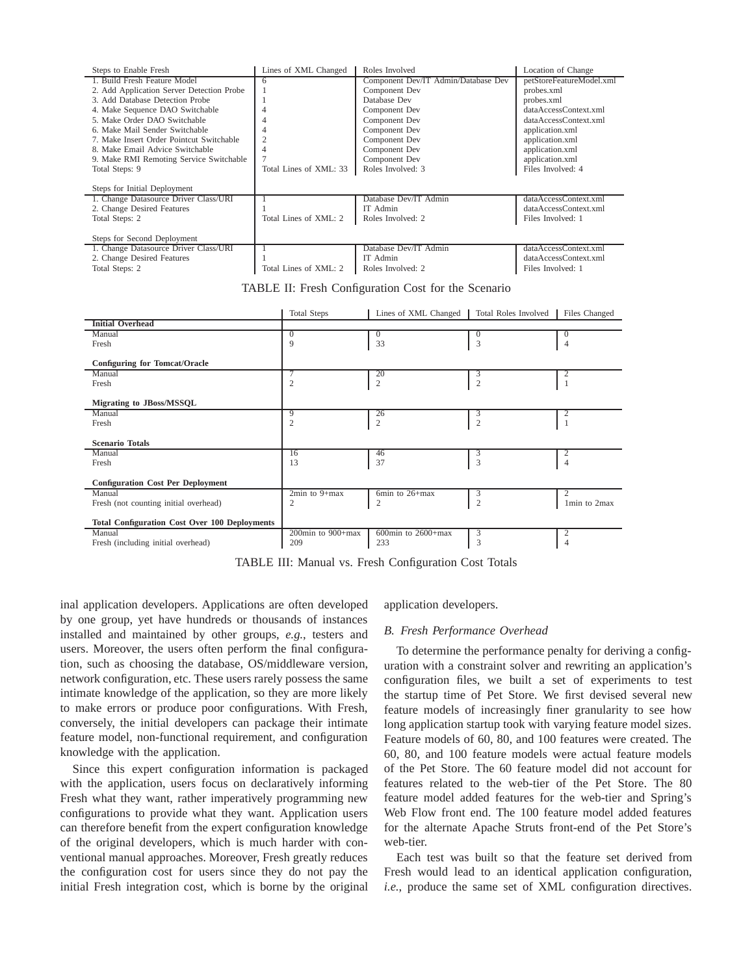| Steps to Enable Fresh                     | Lines of XML Changed   | Roles Involved                      | Location of Change       |
|-------------------------------------------|------------------------|-------------------------------------|--------------------------|
| 1. Build Fresh Feature Model              | 6                      | Component Dev/IT Admin/Database Dev | petStoreFeatureModel.xml |
| 2. Add Application Server Detection Probe |                        | Component Dev                       | probes.xml               |
| 3. Add Database Detection Probe           |                        | Database Dev                        | probes.xml               |
| 4. Make Sequence DAO Switchable           |                        | Component Dev                       | dataAccessContext.xml    |
| 5. Make Order DAO Switchable              |                        | Component Dev                       | dataAccessContext.xml    |
| 6. Make Mail Sender Switchable            |                        | Component Dev                       | application.xml          |
| 7. Make Insert Order Pointcut Switchable  |                        | Component Dev                       | application.xml          |
| 8. Make Email Advice Switchable           |                        | Component Dev                       | application.xml          |
| 9. Make RMI Remoting Service Switchable   |                        | Component Dev                       | application.xml          |
| Total Steps: 9                            | Total Lines of XML: 33 | Roles Involved: 3                   | Files Involved: 4        |
|                                           |                        |                                     |                          |
| Steps for Initial Deployment              |                        |                                     |                          |
| 1. Change Datasource Driver Class/URI     |                        | Database Dev/IT Admin               | dataAccessContext.xml    |
| 2. Change Desired Features                |                        | IT Admin                            | dataAccessContext.xml    |
| Total Steps: 2                            | Total Lines of XML: 2  | Roles Involved: 2                   | Files Involved: 1        |
|                                           |                        |                                     |                          |
| Steps for Second Deployment               |                        |                                     |                          |
| 1. Change Datasource Driver Class/URI     |                        | Database Dev/IT Admin               | dataAccessContext.xml    |
| 2. Change Desired Features                |                        | IT Admin                            | dataAccessContext.xml    |
| Total Steps: 2                            | Total Lines of XML: 2  | Roles Involved: 2                   | Files Involved: 1        |
|                                           |                        |                                     |                          |

TABLE II: Fresh Configuration Cost for the Scenario

|                                                      | <b>Total Steps</b>                    | Lines of XML Changed     | <b>Total Roles Involved</b> | Files Changed  |
|------------------------------------------------------|---------------------------------------|--------------------------|-----------------------------|----------------|
| <b>Initial Overhead</b>                              |                                       |                          |                             |                |
| Manual                                               | $\Omega$                              | $\sigma$                 | $\theta$                    | $\theta$       |
| Fresh                                                | 9                                     | 33                       | 3                           | $\overline{4}$ |
|                                                      |                                       |                          |                             |                |
| <b>Configuring for Tomcat/Oracle</b>                 |                                       |                          |                             |                |
| Manual                                               |                                       | 20                       | 3                           | 2              |
| Fresh                                                | $\overline{2}$                        | $\overline{c}$           | $\overline{2}$              |                |
|                                                      |                                       |                          |                             |                |
| Migrating to JBoss/MSSQL                             |                                       |                          |                             |                |
| Manual                                               | 9                                     | 26                       | 3                           | $\overline{c}$ |
| Fresh                                                | $\overline{c}$                        | $\overline{c}$           | $\overline{2}$              |                |
|                                                      |                                       |                          |                             |                |
| <b>Scenario Totals</b>                               |                                       |                          |                             |                |
| Manual                                               | 16                                    | 46                       | 3                           | 2              |
| Fresh                                                | 13                                    | 37                       | 3                           | $\overline{4}$ |
|                                                      |                                       |                          |                             |                |
| <b>Configuration Cost Per Deployment</b>             |                                       |                          |                             |                |
| Manual                                               | $2min$ to $9 + max$                   | $6min$ to $26+max$       | 3                           | 2              |
| Fresh (not counting initial overhead)                | $\overline{2}$                        | $\overline{2}$           | $\overline{2}$              | 1min to 2max   |
|                                                      |                                       |                          |                             |                |
| <b>Total Configuration Cost Over 100 Deployments</b> |                                       |                          |                             |                |
| Manual                                               | 200 $\text{min}$ to 900 $\text{+max}$ | $600$ min to $2600+$ max | 3                           | 2              |
| Fresh (including initial overhead)                   | 209                                   | 233                      | 3                           | $\overline{4}$ |
|                                                      |                                       |                          |                             |                |

TABLE III: Manual vs. Fresh Configuration Cost Totals

inal application developers. Applications are often developed by one group, yet have hundreds or thousands of instances installed and maintained by other groups, *e.g.*, testers and users. Moreover, the users often perform the final configuration, such as choosing the database, OS/middleware version, network configuration, etc. These users rarely possess the same intimate knowledge of the application, so they are more likely to make errors or produce poor configurations. With Fresh, conversely, the initial developers can package their intimate feature model, non-functional requirement, and configuration knowledge with the application.

Since this expert configuration information is packaged with the application, users focus on declaratively informing Fresh what they want, rather imperatively programming new configurations to provide what they want. Application users can therefore benefit from the expert configuration knowledge of the original developers, which is much harder with conventional manual approaches. Moreover, Fresh greatly reduces the configuration cost for users since they do not pay the initial Fresh integration cost, which is borne by the original application developers.

#### *B. Fresh Performance Overhead*

To determine the performance penalty for deriving a configuration with a constraint solver and rewriting an application's configuration files, we built a set of experiments to test the startup time of Pet Store. We first devised several new feature models of increasingly finer granularity to see how long application startup took with varying feature model sizes. Feature models of 60, 80, and 100 features were created. The 60, 80, and 100 feature models were actual feature models of the Pet Store. The 60 feature model did not account for features related to the web-tier of the Pet Store. The 80 feature model added features for the web-tier and Spring's Web Flow front end. The 100 feature model added features for the alternate Apache Struts front-end of the Pet Store's web-tier.

Each test was built so that the feature set derived from Fresh would lead to an identical application configuration, *i.e.*, produce the same set of XML configuration directives.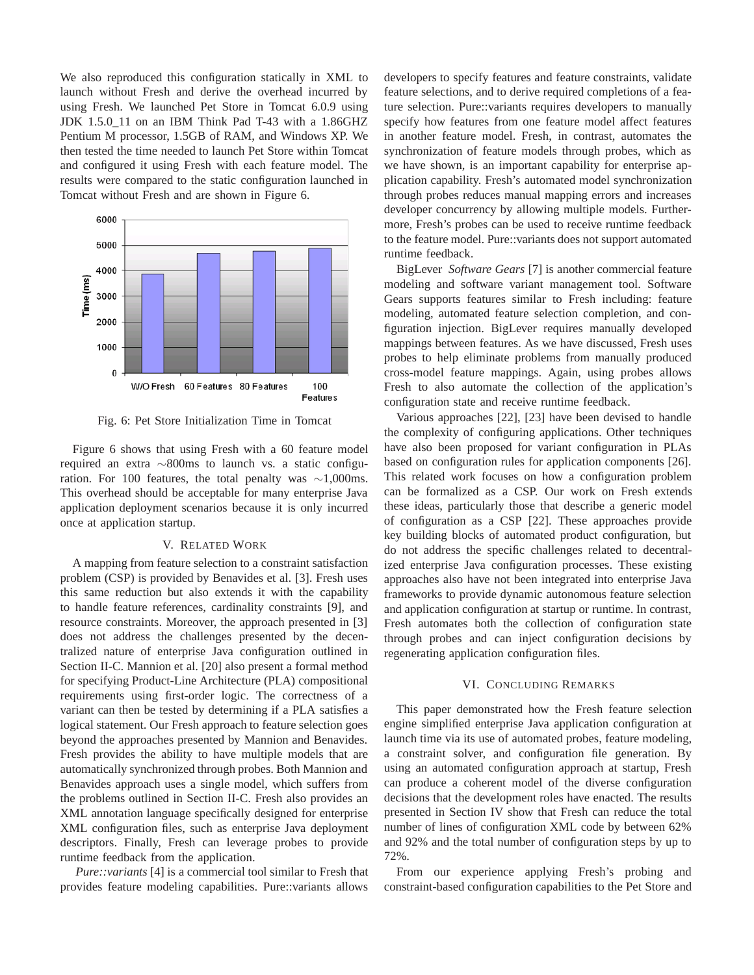We also reproduced this configuration statically in XML to launch without Fresh and derive the overhead incurred by using Fresh. We launched Pet Store in Tomcat 6.0.9 using JDK 1.5.0\_11 on an IBM Think Pad T-43 with a 1.86GHZ Pentium M processor, 1.5GB of RAM, and Windows XP. We then tested the time needed to launch Pet Store within Tomcat and configured it using Fresh with each feature model. The results were compared to the static configuration launched in Tomcat without Fresh and are shown in Figure 6.



Fig. 6: Pet Store Initialization Time in Tomcat

Figure 6 shows that using Fresh with a 60 feature model required an extra ∼800ms to launch vs. a static configuration. For 100 features, the total penalty was ∼1,000ms. This overhead should be acceptable for many enterprise Java application deployment scenarios because it is only incurred once at application startup.

#### V. RELATED WORK

A mapping from feature selection to a constraint satisfaction problem (CSP) is provided by Benavides et al. [3]. Fresh uses this same reduction but also extends it with the capability to handle feature references, cardinality constraints [9], and resource constraints. Moreover, the approach presented in [3] does not address the challenges presented by the decentralized nature of enterprise Java configuration outlined in Section II-C. Mannion et al. [20] also present a formal method for specifying Product-Line Architecture (PLA) compositional requirements using first-order logic. The correctness of a variant can then be tested by determining if a PLA satisfies a logical statement. Our Fresh approach to feature selection goes beyond the approaches presented by Mannion and Benavides. Fresh provides the ability to have multiple models that are automatically synchronized through probes. Both Mannion and Benavides approach uses a single model, which suffers from the problems outlined in Section II-C. Fresh also provides an XML annotation language specifically designed for enterprise XML configuration files, such as enterprise Java deployment descriptors. Finally, Fresh can leverage probes to provide runtime feedback from the application.

*Pure::variants* [4] is a commercial tool similar to Fresh that provides feature modeling capabilities. Pure::variants allows

developers to specify features and feature constraints, validate feature selections, and to derive required completions of a feature selection. Pure::variants requires developers to manually specify how features from one feature model affect features in another feature model. Fresh, in contrast, automates the synchronization of feature models through probes, which as we have shown, is an important capability for enterprise application capability. Fresh's automated model synchronization through probes reduces manual mapping errors and increases developer concurrency by allowing multiple models. Furthermore, Fresh's probes can be used to receive runtime feedback to the feature model. Pure::variants does not support automated runtime feedback.

BigLever *Software Gears* [7] is another commercial feature modeling and software variant management tool. Software Gears supports features similar to Fresh including: feature modeling, automated feature selection completion, and configuration injection. BigLever requires manually developed mappings between features. As we have discussed, Fresh uses probes to help eliminate problems from manually produced cross-model feature mappings. Again, using probes allows Fresh to also automate the collection of the application's configuration state and receive runtime feedback.

Various approaches [22], [23] have been devised to handle the complexity of configuring applications. Other techniques have also been proposed for variant configuration in PLAs based on configuration rules for application components [26]. This related work focuses on how a configuration problem can be formalized as a CSP. Our work on Fresh extends these ideas, particularly those that describe a generic model of configuration as a CSP [22]. These approaches provide key building blocks of automated product configuration, but do not address the specific challenges related to decentralized enterprise Java configuration processes. These existing approaches also have not been integrated into enterprise Java frameworks to provide dynamic autonomous feature selection and application configuration at startup or runtime. In contrast, Fresh automates both the collection of configuration state through probes and can inject configuration decisions by regenerating application configuration files.

#### VI. CONCLUDING REMARKS

This paper demonstrated how the Fresh feature selection engine simplified enterprise Java application configuration at launch time via its use of automated probes, feature modeling, a constraint solver, and configuration file generation. By using an automated configuration approach at startup, Fresh can produce a coherent model of the diverse configuration decisions that the development roles have enacted. The results presented in Section IV show that Fresh can reduce the total number of lines of configuration XML code by between 62% and 92% and the total number of configuration steps by up to 72%.

From our experience applying Fresh's probing and constraint-based configuration capabilities to the Pet Store and